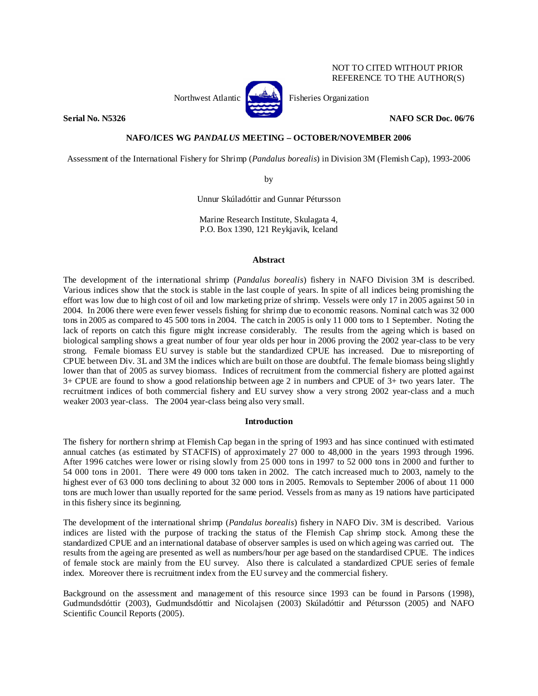Northwest Atlantic **No. 3. Expansion** Fisheries Organization



NOT TO CITED WITHOUT PRIOR REFERENCE TO THE AUTHOR(S)

# **Serial No. N5326 NAFO SCR Doc. 06/76 NAFO SCR Doc. 06/76**

# **NAFO/ICES WG** *PANDALUS* **MEETING – OCTOBER/NOVEMBER 2006**

Assessment of the International Fishery for Shrimp (*Pandalus borealis*) in Division 3M (Flemish Cap), 1993-2006

by

Unnur Skúladóttir and Gunnar Pétursson

Marine Research Institute, Skulagata 4, P.O. Box 1390, 121 Reykjavik, Iceland

# **Abstract**

The development of the international shrimp (*Pandalus borealis*) fishery in NAFO Division 3M is described. Various indices show that the stock is stable in the last couple of years. In spite of all indices being promishing the effort was low due to high cost of oil and low marketing prize of shrimp. Vessels were only 17 in 2005 against 50 in 2004. In 2006 there were even fewer vessels fishing for shrimp due to economic reasons. Nominal catch was 32 000 tons in 2005 as compared to 45 500 tons in 2004. The catch in 2005 is only 11 000 tons to 1 September. Noting the lack of reports on catch this figure might increase considerably. The results from the ageing which is based on biological sampling shows a great number of four year olds per hour in 2006 proving the 2002 year-class to be very strong. Female biomass EU survey is stable but the standardized CPUE has increased. Due to misreporting of CPUE between Div. 3L and 3M the indices which are built on those are doubtful. The female biomass being slightly lower than that of 2005 as survey biomass. Indices of recruitment from the commercial fishery are plotted against 3+ CPUE are found to show a good relationship between age 2 in numbers and CPUE of 3+ two years later. The recruitment indices of both commercial fishery and EU survey show a very strong 2002 year-class and a much weaker 2003 year-class. The 2004 year-class being also very small.

## **Introduction**

The fishery for northern shrimp at Flemish Cap began in the spring of 1993 and has since continued with estimated annual catches (as estimated by STACFIS) of approximately 27 000 to 48,000 in the years 1993 through 1996. After 1996 catches were lower or rising slowly from 25 000 tons in 1997 to 52 000 tons in 2000 and further to 54 000 tons in 2001. There were 49 000 tons taken in 2002. The catch increased much to 2003, namely to the highest ever of 63 000 tons declining to about 32 000 tons in 2005. Removals to September 2006 of about 11 000 tons are much lower than usually reported for the same period. Vessels from as many as 19 nations have participated in this fishery since its beginning.

The development of the international shrimp (*Pandalus borealis*) fishery in NAFO Div. 3M is described. Various indices are listed with the purpose of tracking the status of the Flemish Cap shrimp stock. Among these the standardized CPUE and an international database of observer samples is used on which ageing was carried out. The results from the ageing are presented as well as numbers/hour per age based on the standardised CPUE. The indices of female stock are mainly from the EU survey. Also there is calculated a standardized CPUE series of female index. Moreover there is recruitment index from the EU survey and the commercial fishery.

Background on the assessment and management of this resource since 1993 can be found in Parsons (1998), Gudmundsdóttir (2003), Gudmundsdóttir and Nicolajsen (2003) Skúladóttir and Pétursson (2005) and NAFO Scientific Council Reports (2005).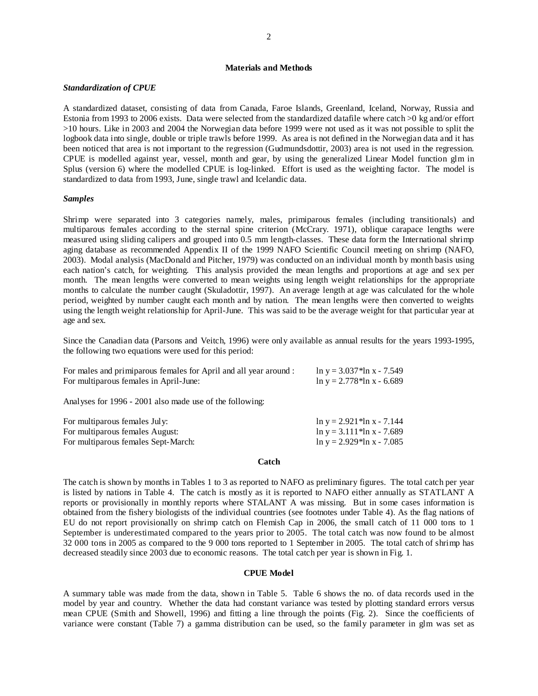# **Materials and Methods**

### *Standardization of CPUE*

A standardized dataset, consisting of data from Canada, Faroe Islands, Greenland, Iceland, Norway, Russia and Estonia from 1993 to 2006 exists. Data were selected from the standardized datafile where catch >0 kg and/or effort >10 hours. Like in 2003 and 2004 the Norwegian data before 1999 were not used as it was not possible to split the logbook data into single, double or triple trawls before 1999. As area is not defined in the Norwegian data and it has been noticed that area is not important to the regression (Gudmundsdottir, 2003) area is not used in the regression. CPUE is modelled against year, vessel, month and gear, by using the generalized Linear Model function glm in Splus (version 6) where the modelled CPUE is log-linked. Effort is used as the weighting factor. The model is standardized to data from 1993, June, single trawl and Icelandic data.

### *Samples*

Shrimp were separated into 3 categories namely, males, primiparous females (including transitionals) and multiparous females according to the sternal spine criterion (McCrary. 1971), oblique carapace lengths were measured using sliding calipers and grouped into 0.5 mm length-classes. These data form the International shrimp aging database as recommended Appendix II of the 1999 NAFO Scientific Council meeting on shrimp (NAFO, 2003). Modal analysis (MacDonald and Pitcher, 1979) was conducted on an individual month by month basis using each nation's catch, for weighting. This analysis provided the mean lengths and proportions at age and sex per month. The mean lengths were converted to mean weights using length weight relationships for the appropriate months to calculate the number caught (Skuladottir, 1997). An average length at age was calculated for the whole period, weighted by number caught each month and by nation. The mean lengths were then converted to weights using the length weight relationship for April-June. This was said to be the average weight for that particular year at age and sex.

Since the Canadian data (Parsons and Veitch, 1996) were only available as annual results for the years 1993-1995, the following two equations were used for this period:

| For males and primiparous females for April and all year around : | $\ln y = 3.037$ *ln x - 7.549 |
|-------------------------------------------------------------------|-------------------------------|
| For multiparous females in April-June:                            | $\ln y = 2.778$ *ln x - 6.689 |

Analyses for 1996 - 2001 also made use of the following:

| For multiparous females July:       | $\ln y = 2.921$ *ln x - 7.144  |
|-------------------------------------|--------------------------------|
| For multiparous females August:     | $\ln y = 3.111* \ln x - 7.689$ |
| For multiparous females Sept-March: | $\ln y = 2.929* \ln x - 7.085$ |

### **Catch**

The catch is shown by months in Tables 1 to 3 as reported to NAFO as preliminary figures. The total catch per year is listed by nations in Table 4. The catch is mostly as it is reported to NAFO either annually as STATLANT A reports or provisionally in monthly reports where STALANT A was missing. But in some cases information is obtained from the fishery biologists of the individual countries (see footnotes under Table 4). As the flag nations of EU do not report provisionally on shrimp catch on Flemish Cap in 2006, the small catch of 11 000 tons to 1 September is underestimated compared to the years prior to 2005. The total catch was now found to be almost 32 000 tons in 2005 as compared to the 9 000 tons reported to 1 September in 2005. The total catch of shrimp has decreased steadily since 2003 due to economic reasons. The total catch per year is shown in Fig. 1.

### **CPUE Model**

A summary table was made from the data, shown in Table 5. Table 6 shows the no. of data records used in the model by year and country. Whether the data had constant variance was tested by plotting standard errors versus mean CPUE (Smith and Showell, 1996) and fitting a line through the points (Fig. 2). Since the coefficients of variance were constant (Table 7) a gamma distribution can be used, so the family parameter in glm was set as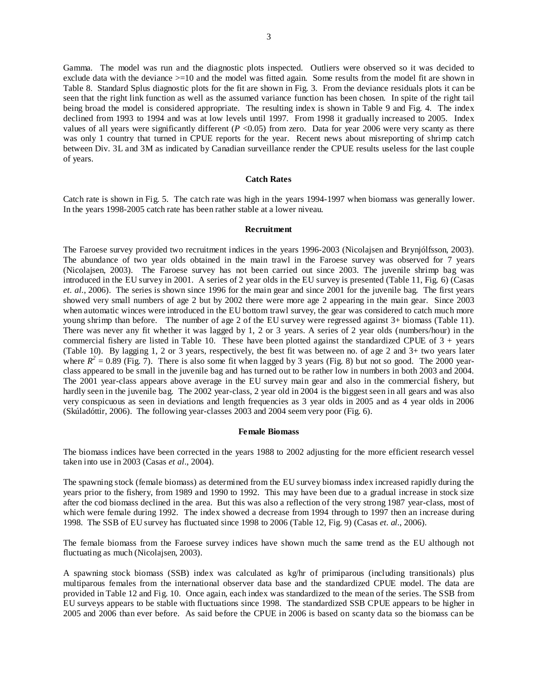Gamma. The model was run and the diagnostic plots inspected. Outliers were observed so it was decided to exclude data with the deviance >=10 and the model was fitted again. Some results from the model fit are shown in Table 8. Standard Splus diagnostic plots for the fit are shown in Fig. 3. From the deviance residuals plots it can be seen that the right link function as well as the assumed variance function has been chosen. In spite of the right tail being broad the model is considered appropriate. The resulting index is shown in Table 9 and Fig. 4. The index declined from 1993 to 1994 and was at low levels until 1997. From 1998 it gradually increased to 2005. Index values of all years were significantly different  $(P < 0.05)$  from zero. Data for year 2006 were very scanty as there was only 1 country that turned in CPUE reports for the year. Recent news about misreporting of shrimp catch between Div. 3L and 3M as indicated by Canadian surveillance render the CPUE results useless for the last couple of years.

### **Catch Rates**

Catch rate is shown in Fig. 5. The catch rate was high in the years 1994-1997 when biomass was generally lower. In the years 1998-2005 catch rate has been rather stable at a lower niveau.

### **Recruitment**

The Faroese survey provided two recruitment indices in the years 1996-2003 (Nicolajsen and Brynjólfsson, 2003). The abundance of two year olds obtained in the main trawl in the Faroese survey was observed for 7 years (Nicolajsen, 2003). The Faroese survey has not been carried out since 2003. The juvenile shrimp bag was introduced in the EU survey in 2001. A series of 2 year olds in the EU survey is presented (Table 11, Fig. 6) (Casas *et. al.*, 2006). The series is shown since 1996 for the main gear and since 2001 for the juvenile bag. The first years showed very small numbers of age 2 but by 2002 there were more age 2 appearing in the main gear. Since 2003 when automatic winces were introduced in the EU bottom trawl survey, the gear was considered to catch much more young shrimp than before. The number of age 2 of the EU survey were regressed against 3+ biomass (Table 11). There was never any fit whether it was lagged by 1, 2 or 3 years. A series of 2 year olds (numbers/hour) in the commercial fishery are listed in Table 10. These have been plotted against the standardized CPUE of  $3 + \text{years}$ (Table 10). By lagging 1, 2 or 3 years, respectively, the best fit was between no. of age 2 and 3+ two years later where  $R^2 = 0.89$  (Fig. 7). There is also some fit when lagged by 3 years (Fig. 8) but not so good. The 2000 yearclass appeared to be small in the juvenile bag and has turned out to be rather low in numbers in both 2003 and 2004. The 2001 year-class appears above average in the EU survey main gear and also in the commercial fishery, but hardly seen in the juvenile bag. The 2002 year-class, 2 year old in 2004 is the biggest seen in all gears and was also very conspicuous as seen in deviations and length frequencies as 3 year olds in 2005 and as 4 year olds in 2006 (Skúladóttir, 2006). The following year-classes 2003 and 2004 seem very poor (Fig. 6).

#### **Female Biomass**

The biomass indices have been corrected in the years 1988 to 2002 adjusting for the more efficient research vessel taken into use in 2003 (Casas *et al*., 2004).

The spawning stock (female biomass) as determined from the EU survey biomass index increased rapidly during the years prior to the fishery, from 1989 and 1990 to 1992. This may have been due to a gradual increase in stock size after the cod biomass declined in the area. But this was also a reflection of the very strong 1987 year-class, most of which were female during 1992. The index showed a decrease from 1994 through to 1997 then an increase during 1998. The SSB of EU survey has fluctuated since 1998 to 2006 (Table 12, Fig. 9) (Casas *et. al.*, 2006).

The female biomass from the Faroese survey indices have shown much the same trend as the EU although not fluctuating as much (Nicolajsen, 2003).

A spawning stock biomass (SSB) index was calculated as kg/hr of primiparous (including transitionals) plus multiparous females from the international observer data base and the standardized CPUE model. The data are provided in Table 12 and Fig. 10. Once again, each index was standardized to the mean of the series. The SSB from EU surveys appears to be stable with fluctuations since 1998. The standardized SSB CPUE appears to be higher in 2005 and 2006 than ever before. As said before the CPUE in 2006 is based on scanty data so the biomass can be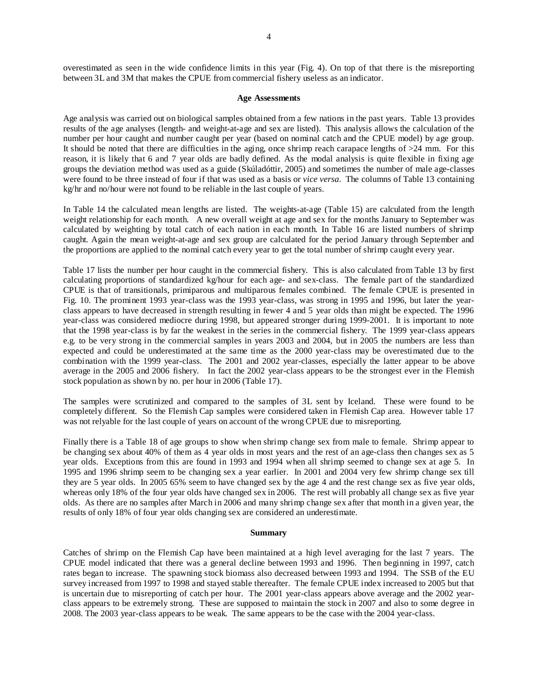overestimated as seen in the wide confidence limits in this year (Fig. 4). On top of that there is the misreporting between 3L and 3M that makes the CPUE from commercial fishery useless as an indicator.

#### **Age Assessments**

Age analysis was carried out on biological samples obtained from a few nations in the past years. Table 13 provides results of the age analyses (length- and weight-at-age and sex are listed). This analysis allows the calculation of the number per hour caught and number caught per year (based on nominal catch and the CPUE model) by age group. It should be noted that there are difficulties in the aging, once shrimp reach carapace lengths of  $>24$  mm. For this reason, it is likely that 6 and 7 year olds are badly defined. As the modal analysis is quite flexible in fixing age groups the deviation method was used as a guide (Skúladóttir, 2005) and sometimes the number of male age-classes were found to be three instead of four if that was used as a basis or *vice versa*. The columns of Table 13 containing kg/hr and no/hour were not found to be reliable in the last couple of years.

In Table 14 the calculated mean lengths are listed. The weights-at-age (Table 15) are calculated from the length weight relationship for each month. A new overall weight at age and sex for the months January to September was calculated by weighting by total catch of each nation in each month. In Table 16 are listed numbers of shrimp caught. Again the mean weight-at-age and sex group are calculated for the period January through September and the proportions are applied to the nominal catch every year to get the total number of shrimp caught every year.

Table 17 lists the number per hour caught in the commercial fishery. This is also calculated from Table 13 by first calculating proportions of standardized kg/hour for each age- and sex-class. The female part of the standardized CPUE is that of transitionals, primiparous and multiparous females combined. The female CPUE is presented in Fig. 10. The prominent 1993 year-class was the 1993 year-class, was strong in 1995 and 1996, but later the yearclass appears to have decreased in strength resulting in fewer 4 and 5 year olds than might be expected. The 1996 year-class was considered mediocre during 1998, but appeared stronger during 1999-2001. It is important to note that the 1998 year-class is by far the weakest in the series in the commercial fishery. The 1999 year-class appears e.g. to be very strong in the commercial samples in years 2003 and 2004, but in 2005 the numbers are less than expected and could be underestimated at the same time as the 2000 year-class may be overestimated due to the combination with the 1999 year-class. The 2001 and 2002 year-classes, especially the latter appear to be above average in the 2005 and 2006 fishery. In fact the 2002 year-class appears to be the strongest ever in the Flemish stock population as shown by no. per hour in 2006 (Table 17).

The samples were scrutinized and compared to the samples of 3L sent by Iceland. These were found to be completely different. So the Flemish Cap samples were considered taken in Flemish Cap area. However table 17 was not relyable for the last couple of years on account of the wrong CPUE due to misreporting.

Finally there is a Table 18 of age groups to show when shrimp change sex from male to female. Shrimp appear to be changing sex about 40% of them as 4 year olds in most years and the rest of an age-class then changes sex as 5 year olds. Exceptions from this are found in 1993 and 1994 when all shrimp seemed to change sex at age 5. In 1995 and 1996 shrimp seem to be changing sex a year earlier. In 2001 and 2004 very few shrimp change sex till they are 5 year olds. In 2005 65% seem to have changed sex by the age 4 and the rest change sex as five year olds, whereas only 18% of the four year olds have changed sex in 2006. The rest will probably all change sex as five year olds. As there are no samples after March in 2006 and many shrimp change sex after that month in a given year, the results of only 18% of four year olds changing sex are considered an underestimate.

#### **Summary**

Catches of shrimp on the Flemish Cap have been maintained at a high level averaging for the last 7 years. The CPUE model indicated that there was a general decline between 1993 and 1996. Then beginning in 1997, catch rates began to increase. The spawning stock biomass also decreased between 1993 and 1994. The SSB of the EU survey increased from 1997 to 1998 and stayed stable thereafter. The female CPUE index increased to 2005 but that is uncertain due to misreporting of catch per hour. The 2001 year-class appears above average and the 2002 yearclass appears to be extremely strong. These are supposed to maintain the stock in 2007 and also to some degree in 2008. The 2003 year-class appears to be weak. The same appears to be the case with the 2004 year-class.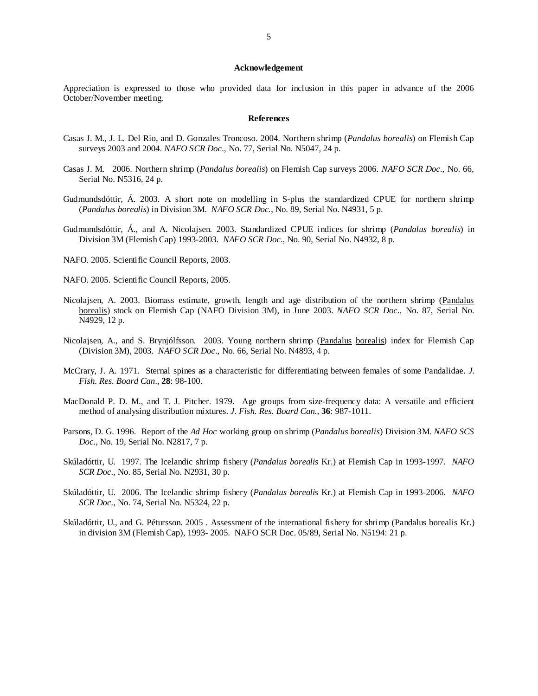#### **Acknowledgement**

Appreciation is expressed to those who provided data for inclusion in this paper in advance of the 2006 October/November meeting.

#### **References**

- Casas J. M., J. L. Del Rio, and D. Gonzales Troncoso. 2004. Northern shrimp (*Pandalus borealis*) on Flemish Cap surveys 2003 and 2004. *NAFO SCR Doc*., No. 77, Serial No. N5047, 24 p.
- Casas J. M. 2006. Northern shrimp (*Pandalus borealis*) on Flemish Cap surveys 2006. *NAFO SCR Doc*., No. 66, Serial No. N5316, 24 p.
- Gudmundsdóttir, Á. 2003. A short note on modelling in S-plus the standardized CPUE for northern shrimp (*Pandalus borealis*) in Division 3M. *NAFO SCR Doc.*, No. 89, Serial No. N4931, 5 p.
- Gudmundsdóttir, Á., and A. Nicolajsen. 2003. Standardized CPUE indices for shrimp (*Pandalus borealis*) in Division 3M (Flemish Cap) 1993-2003. *NAFO SCR Doc*., No. 90, Serial No. N4932, 8 p.
- NAFO. 2005. Scientific Council Reports, 2003.
- NAFO. 2005. Scientific Council Reports, 2005.
- Nicolajsen, A. 2003. Biomass estimate, growth, length and age distribution of the northern shrimp (Pandalus borealis) stock on Flemish Cap (NAFO Division 3M), in June 2003. *NAFO SCR Doc*., No. 87, Serial No. N4929, 12 p.
- Nicolajsen, A., and S. Brynjólfsson. 2003. Young northern shrimp (Pandalus borealis) index for Flemish Cap (Division 3M), 2003. *NAFO SCR Doc*., No. 66, Serial No. N4893, 4 p.
- McCrary, J. A. 1971. Sternal spines as a characteristic for differentiating between females of some Pandalidae. *J. Fish. Res. Board Can*., **28**: 98-100.
- MacDonald P. D. M., and T. J. Pitcher. 1979. Age groups from size-frequency data: A versatile and efficient method of analysing distribution mixtures. *J. Fish. Res. Board Can.*, **36**: 987-1011.
- Parsons, D. G. 1996.Report of the *Ad Hoc* working group on shrimp (*Pandalus borealis*) Division 3M. *NAFO SCS Doc*., No. 19, Serial No. N2817, 7 p.
- Skúladóttir, U. 1997. The Icelandic shrimp fishery (*Pandalus borealis* Kr.) at Flemish Cap in 1993-1997. *NAFO SCR Doc*., No. 85, Serial No. N2931, 30 p.
- Skúladóttir, U. 2006. The Icelandic shrimp fishery (*Pandalus borealis* Kr.) at Flemish Cap in 1993-2006. *NAFO SCR Doc*., No. 74, Serial No. N5324, 22 p.
- Skúladóttir, U., and G. Pétursson. 2005 . Assessment of the international fishery for shrimp (Pandalus borealis Kr.) in division 3M (Flemish Cap), 1993- 2005. NAFO SCR Doc. 05/89, Serial No. N5194: 21 p.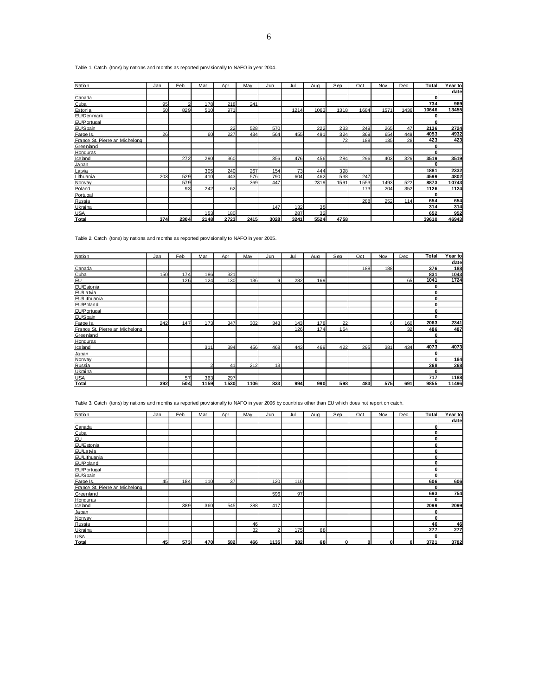Table 1. Catch (tons) by nations and months as reported provisionally to NAFO in year 2004.

| Nation                         | Jan             | Feb            | Mar  | Apr  | Mav  | Jun  | Jul  | Aug  | Sep  | Oct  | Nov  | Dec  | Total        | Year to |
|--------------------------------|-----------------|----------------|------|------|------|------|------|------|------|------|------|------|--------------|---------|
|                                |                 |                |      |      |      |      |      |      |      |      |      |      |              | date    |
| Canada                         |                 |                |      |      |      |      |      |      |      |      |      |      | 01           |         |
| Cuba                           | 95              | $\overline{2}$ | 178  | 218  | 241  |      |      |      |      |      |      |      | 734          | 969     |
| Estonia                        | 50 <sub>1</sub> | 829            | 510  | 971  |      |      | 1214 | 1063 | 1318 | 1684 | 1571 | 1436 | 10646        | 13455   |
| EU/Denmark                     |                 |                |      |      |      |      |      |      |      |      |      |      |              |         |
| EU/Portugal                    |                 |                |      |      |      |      |      |      |      |      |      |      | O            |         |
| EU/Spain                       |                 |                |      | 22   | 528  | 570  |      | 222  | 233  | 249  | 265  | 47   | 2136         | 2724    |
| Faroe Is.                      | 26              |                | 60   | 227  | 434  | 564  | 455  | 491  | 324  | 369  | 654  | 449  | 4053         | 4932    |
| France St. Pierre an Michelong |                 |                |      |      |      |      |      |      | 72   | 188  | 135  | 28   | 423          | 423     |
| Greenland                      |                 |                |      |      |      |      |      |      |      |      |      |      |              |         |
| Honduras                       |                 |                |      |      |      |      |      |      |      |      |      |      | $\mathbf{0}$ |         |
| Iceland                        |                 | 272            | 290  | 360  |      | 356  | 476  | 456  | 284  | 296  | 403  | 326  | 3519         | 3519    |
| Japan                          |                 |                |      |      |      |      |      |      |      |      |      |      | <sup>0</sup> |         |
| Latvia                         |                 |                | 305  | 240  | 267  | 154  | 73   | 444  | 398  |      |      |      | 1881         | 2332    |
| Lithuania                      | 203             | 529            | 410  | 443  | 576  | 790  | 604  | 462  | 538  | 247  |      |      | 4599         | 4802    |
| Norway                         |                 | 579            |      |      | 369  | 447  |      | 2319 | 1591 | 1553 | 1493 | 522  | 8873         | 10743   |
| Poland                         |                 | 93             | 242  | 62   |      |      |      |      |      | 173  | 204  | 352  | 1126         | 1124    |
| Portugal                       |                 |                |      |      |      |      |      |      |      |      |      |      | O            |         |
| Russia                         |                 |                |      |      |      |      |      |      |      | 288  | 252  | 114  | 654          | 654     |
| Ukraina                        |                 |                |      |      |      | 147  | 132  | 35   |      |      |      |      | 314          | 314     |
| <b>USA</b>                     |                 |                | 153  | 180  |      |      | 287  | 32   |      |      |      |      | 652          | 952     |
| Total                          | 374I            | 2304           | 2148 | 2723 | 2415 | 3028 | 3241 | 5524 | 4758 |      |      |      | 39610        | 46943   |

Table 2. Catch (tons) by nations and months as reported provisionally to NAFO in year 2005.

| Nation                         | Jan | Feb | Mar  | Apr  | Mav  | Jun | Jul | Aug | Sep | Oct | Nov | Dec | Total        | Year to |
|--------------------------------|-----|-----|------|------|------|-----|-----|-----|-----|-----|-----|-----|--------------|---------|
|                                |     |     |      |      |      |     |     |     |     |     |     |     |              | date    |
| Canada                         |     |     |      |      |      |     |     |     |     | 188 | 188 |     | 376          | 188     |
| Cuba                           | 150 | 174 | 186  | 321  |      |     |     |     |     |     |     |     | 831          | 1043    |
| ΓΕυ                            |     | 126 | 124  | 130  | 136  | 9   | 282 | 169 |     |     |     | 65  | 1041         | 1724    |
| EU/Estonia                     |     |     |      |      |      |     |     |     |     |     |     |     | 0            |         |
| EU/Latvia                      |     |     |      |      |      |     |     |     |     |     |     |     | $\mathbf{0}$ |         |
| EU/Lithuania                   |     |     |      |      |      |     |     |     |     |     |     |     | O            |         |
| EU/Poland                      |     |     |      |      |      |     |     |     |     |     |     |     | 0            |         |
| EU/Portugal                    |     |     |      |      |      |     |     |     |     |     |     |     | 0l           |         |
| EU/Spain                       |     |     |      |      |      |     |     |     |     |     |     |     | $\bf{0}$     |         |
| Faroe Is.                      | 242 | 147 | 173  | 347  | 302  | 343 | 143 | 178 | 22  |     | ĥ   | 160 | 2063         | 2341    |
| France St. Pierre an Michelong |     |     |      |      |      |     | 126 | 174 | 154 |     |     | 32  | 486          | 487     |
| Greenland                      |     |     |      |      |      |     |     |     |     |     |     |     | 0            |         |
| Honduras                       |     |     |      |      |      |     |     |     |     |     |     |     | 0l           |         |
| Iceland                        |     |     | 311  | 394  | 456  | 468 | 443 | 469 | 422 | 295 | 381 | 434 | 4073         | 4073    |
| Japan                          |     |     |      |      |      |     |     |     |     |     |     |     |              |         |
| Norway                         |     |     |      |      |      |     |     |     |     |     |     |     |              | 184     |
| Russia                         |     |     | 21   | 41   | 212  | 13  |     |     |     |     |     |     | 268          | 268     |
| Ukraina                        |     |     |      |      |      |     |     |     |     |     |     |     | $\Omega$     |         |
| <b>USA</b>                     |     | 57  | 363  | 297  |      |     |     |     |     |     |     |     | 717          | 1188    |
| <b>Total</b>                   | 392 | 504 | 1159 | 1530 | 1106 | 833 | 994 | 990 | 598 | 483 | 575 | 691 | 9855         | 11496   |

Table 3. Catch (tons) by nations and months as reported provisionally to NAFO in year 2006 by countries other than EU which does not report on catch.

| Nation                         | Jan | Feb | Mar | Apr | May | Jun  | Jul | Aug | Sep | Oct | Nov | Dec | Total        | Year to |
|--------------------------------|-----|-----|-----|-----|-----|------|-----|-----|-----|-----|-----|-----|--------------|---------|
|                                |     |     |     |     |     |      |     |     |     |     |     |     |              | date    |
| Canada                         |     |     |     |     |     |      |     |     |     |     |     |     | 0            |         |
| Cuba                           |     |     |     |     |     |      |     |     |     |     |     |     | 0            |         |
| <b>EU</b>                      |     |     |     |     |     |      |     |     |     |     |     |     | $\bf{0}$     |         |
| EU/Estonia                     |     |     |     |     |     |      |     |     |     |     |     |     | $\mathbf 0$  |         |
| EU/Latvia                      |     |     |     |     |     |      |     |     |     |     |     |     | $\mathbf{0}$ |         |
| EU/Lithuania                   |     |     |     |     |     |      |     |     |     |     |     |     | $\mathbf 0$  |         |
| EU/Poland                      |     |     |     |     |     |      |     |     |     |     |     |     | $\mathbf{0}$ |         |
| EU/Portugal                    |     |     |     |     |     |      |     |     |     |     |     |     | $\bf{0}$     |         |
| EU/Spain                       |     |     |     |     |     |      |     |     |     |     |     |     | $\bf{0}$     |         |
| Faroe Is.                      | 45  | 184 | 110 | 37  |     | 120  | 110 |     |     |     |     |     | 606          | 606     |
| France St. Pierre an Michelong |     |     |     |     |     |      |     |     |     |     |     |     | $\bf{0}$     |         |
| Greenland                      |     |     |     |     |     | 596  | 97  |     |     |     |     |     | 693          | 754     |
| Honduras                       |     |     |     |     |     |      |     |     |     |     |     |     | $\bf{0}$     |         |
| Iceland                        |     | 389 | 360 | 545 | 388 | 417  |     |     |     |     |     |     | 2099         | 2099    |
| Japan                          |     |     |     |     |     |      |     |     |     |     |     |     | $\bf{0}$     |         |
| Norway                         |     |     |     |     |     |      |     |     |     |     |     |     | $\bf{0}$     |         |
| Russia                         |     |     |     |     | 46  |      |     |     |     |     |     |     | 46           | 46      |
| Ukraina                        |     |     |     |     | 32  | 2    | 175 | 68  |     |     |     |     | 277          | 277     |
| <b>USA</b>                     |     |     |     |     |     |      |     |     |     |     |     |     | 0            |         |
| <b>Total</b>                   | 45  | 573 | 470 | 582 | 466 | 1135 | 382 | 68  | O   | O   | ŋ   | 0   | 3721         | 3782    |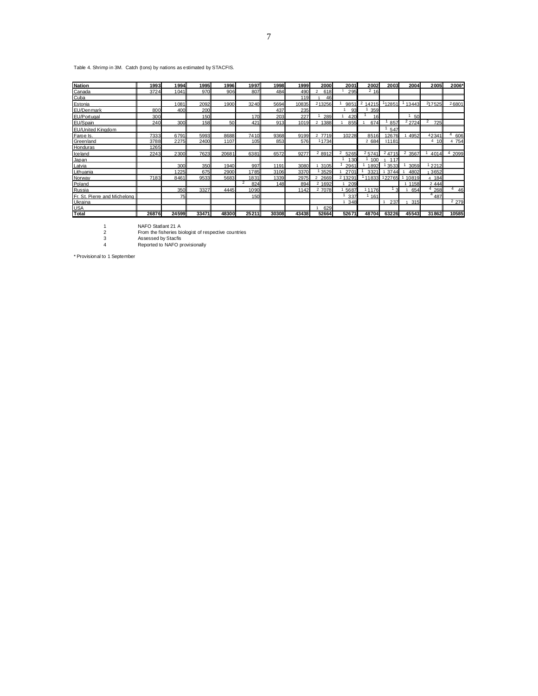### Table 4. Shrimp in 3M. Catch (tons) by nations as estimated by STACFIS.

| <b>Nation</b>                | 1993  | 1994  | 1995       | 1996  | 1997     | 1998  | 1999  | 2000                  | 2001      | 2002            | 2003          | 2004            | <b>2005</b>     | 2006*   |
|------------------------------|-------|-------|------------|-------|----------|-------|-------|-----------------------|-----------|-----------------|---------------|-----------------|-----------------|---------|
| Canada                       | 3724  | 1041  | 970        | 906   | 807      | 484   | 490   | 618<br>$\mathfrak{p}$ | 295       | 216             |               |                 |                 |         |
| Cuba                         |       |       |            |       |          |       | 119   | 46                    |           |                 |               |                 |                 |         |
| Estonia                      |       | 1081  | 2092       | 1900  | 3240     | 5694  | 10835 | 213256                | 9851      | 2<br>14215      | 12851         | 13443           | 217525          | 26801   |
| EU/Denmark                   | 800   | 400   | <b>200</b> |       |          | 437   | 235   |                       | 93        | 359             |               |                 |                 |         |
| EU/Portugal                  | 300   |       | 150        |       | 170      | 203   | 227   | 289                   | 420       | 16 <sup>1</sup> |               | 50 <sup>1</sup> |                 |         |
| EU/Spain                     | 240   | 300   | 158        | 50    | 421      | 913   | 1019  | 2<br>1388             | 855       | 674             | 857           | $2$ 2724        | 2<br><b>725</b> |         |
| <b>EU/United Kinadom</b>     |       |       |            |       |          |       |       |                       |           |                 | 547           |                 |                 |         |
| Faroe Is.                    | 7333  | 6791  | 5993       | 8688  | 7410     | 9368  | 9199  | 2 7719                | 10228     | 8516            | 2676          | 4952            | 42341           | 606     |
| Greenland                    | 3788  | 2275  | 2400       | 1107  | 105      | 853   | 576   | 11734                 |           | 2 684           | 11181         |                 | 4<br>10         | 4 754   |
| Honduras                     | 1265  |       |            |       |          |       |       |                       |           |                 |               |                 |                 |         |
| <b>Iceland</b>               | 2243  | 2300  | 7623       | 20681 | 6381     | 6572  | 9277  | 2 8912                | 2<br>5265 | 25741           | 24715         | 2<br>3567       | 4014            | 2099    |
| Japan                        |       |       |            |       |          |       |       |                       | 130       | 100             | 117           |                 |                 |         |
| Latvia                       |       | 300   | <b>350</b> | 1940  | 997      | 1191  | 3080  | 3105                  | 2961      | 1892            | 3533          | 3059            | 12212           |         |
| Lithuania                    |       | 1225  | 675        | 2900  | 1785     | 3106  | 3370  | 3529                  | 2701      | 3321            | 3744          | 4802            | 3652            |         |
| Norway                       | 7183  | 8461  | 9533       | 5683  | 1831     | 1339  | 2975  | 2669                  | 2 1329    | 11833           | 22765         | 10819           | 4 184           |         |
| Poland                       |       |       |            |       | 2<br>824 | 148   | 894   | 2 1692                | 209       |                 |               | 1158            | 2 4 4 4         |         |
| Russia                       |       | 350   | 3327       | 4445  | 1090     |       | 1142  | 2 7078                | 5687      | 1176            | $\mathcal{R}$ | 654             | 268             | 4<br>46 |
| Fr. St. Pierre and Michelong |       | 75    |            |       | 150      |       |       |                       | 337       | 161             |               |                 | $^{4}$ 487      |         |
| Ukraina                      |       |       |            |       |          |       |       |                       | 348       |                 | 237           | 315             |                 | 2 2 7 9 |
| <b>USA</b>                   |       |       |            |       |          |       |       | 629                   |           |                 |               |                 |                 |         |
| Total                        | 26876 | 24599 | 33471      | 48300 | 25211    | 30308 | 43438 | 52664                 | 52671     | 48704           | 63226         | 45543           | 31862           | 10585   |

1 NAFO Statlant 21 A 2 From the fisheries biologist of respective countries 3 Assessed by Stacfis 4 Reported to NAFO provisionally

\* Provisional to 1 September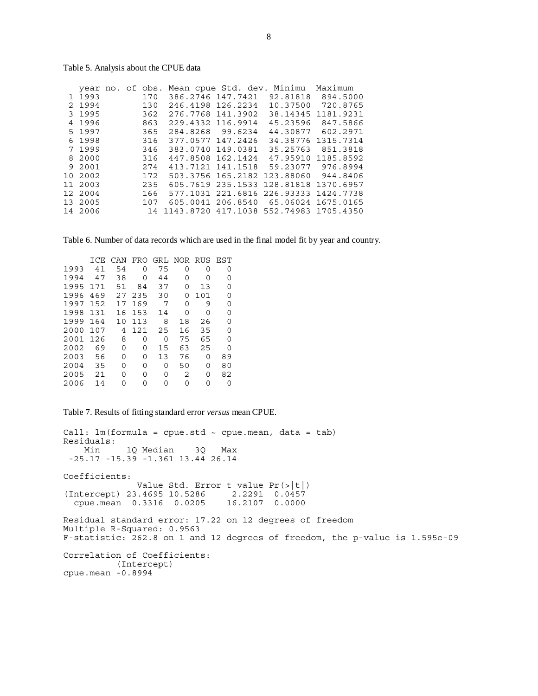|           | year no. of obs.<br>1 1993<br>2 1994<br>3 1995<br>4 1996<br>5 1997 |  | 170<br>130<br>362<br>863 | Mean cpue Std. dev.<br>386.2746 147.7421<br>246.4198 126.2234<br>276.7768 141.3902<br>229.4332 116.9914<br>284.8268 99.6234 |                               | Minimu<br>92.81818<br>10.37500<br>38.14345<br>45.23596                                    | Maximum<br>894.5000<br>720.8765<br>1181.9231<br>847.5866 |
|-----------|--------------------------------------------------------------------|--|--------------------------|-----------------------------------------------------------------------------------------------------------------------------|-------------------------------|-------------------------------------------------------------------------------------------|----------------------------------------------------------|
|           | 6 1998<br>7 1999<br>8 2000                                         |  | 365<br>316<br>346        | 377.0577 147.2426<br>383.0740 149.0381<br>447.8508 162.1424                                                                 |                               | 44.30877<br>34.38776<br>35.25763<br>47.95910                                              | 602.2971<br>1315.7314<br>851.3818<br>1185.8592           |
| 1 O<br>11 | 9 2001<br>2002<br>2003                                             |  | 316<br>274<br>172<br>235 | 413.7121 141.1518<br>605.7619                                                                                               | 503.3756 165.2182<br>235.1533 | 59.23077<br>123.88060<br>128.81818                                                        | 976.8994<br>944.8406<br>1370.6957                        |
|           | 12 2004<br>13 2005<br>14 2006                                      |  | 166<br>107<br>14         |                                                                                                                             |                               | 577.1031 221.6816 226.93333<br>605.0041 206.8540 65.06024<br>1143.8720 417.1038 552.74983 | 1424.7738<br>1675.0165<br>1705.4350                      |

Table 6. Number of data records which are used in the final model fit by year and country.

|      | T C.F. | CAN | FRO | GRL | NOR | <b>RUS</b> | EST              |
|------|--------|-----|-----|-----|-----|------------|------------------|
| 1993 | 41     | 54  | O   | 75  | O   | 0          | U                |
| 1994 | 47     | 38  | U   | 44  | Ω   | Ω          | $\left( \right)$ |
| 1995 | 171    | 51  | 84  | 37  | O   | 13         | U                |
| 1996 | 469    | 27  | 235 | 30  | O   | 101        | ∩                |
| 1997 | 152    | 17  | 169 | 7   | O   | 9          | ∩                |
| 1998 | 131    | 16  | 153 | 14  | O   | 0          | O                |
| 1999 | 164    | 10  | 113 | 8   | 18  | 26         | ∩                |
| 2000 | 107    | 4   | 121 | 25  | 16  | 35         | ∩                |
| 2001 | 126    | 8   | 0   | 0   | 75  | 65         | ∩                |
| 2002 | 69     | 0   | Ω   | 15  | 63  | 25         | U                |
| 2003 | 56     | O   | O   | 13  | 76  | O          | 89               |
| 2004 | 35     | 0   | Ω   | 0   | 50  | O          | 80               |
| 2005 | 21     | ∩   | U   | O   | 2   | ∩          | 82               |
| 2006 | 14     | ი   |     | Ω   |     | Ω          |                  |

Table 7. Results of fitting standard error *versus* mean CPUE.

```
Call: lm(formula = cque.std ~ ~ cque.macan, data = tab)Residuals: 
 Min 1Q Median 3Q Max 
 -25.17 -15.39 -1.361 13.44 26.14 
Coefficients: 
              Value Std. Error t value Pr(>|t|) 
(Intercept) 23.4695 10.5286 2.2291 0.0457 
   cpue.mean 0.3316 0.0205 16.2107 0.0000 
Residual standard error: 17.22 on 12 degrees of freedom 
Multiple R-Squared: 0.9563 
F-statistic: 262.8 on 1 and 12 degrees of freedom, the p-value is 1.595e-09 
Correlation of Coefficients: 
          (Intercept) 
cpue.mean -0.8994
```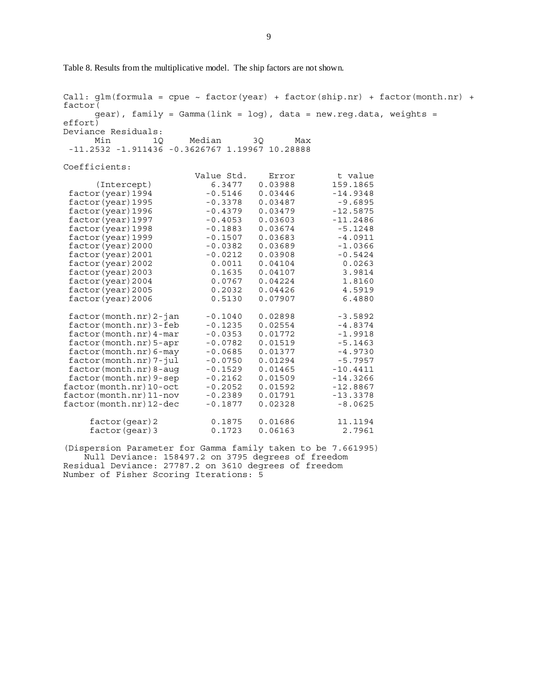Table 8. Results from the multiplicative model. The ship factors are not shown.

Call:  $glm(formula = cque ~ factor(year) + factor(ship.nr) + factor(month.nr) +$ factor(  $qear)$ , family = Gamma(link = log), data = new.reg.data, weights = effort) Deviance Residuals: Min 1Q Median 3Q Max -11.2532 -1.911436 -0.3626767 1.19967 10.28888 Coefficients: Value Std. Error t value<br>6.3477 0.03988 159.1865 (Intercept) 6.3477 0.03988 159.1865  $factor(year)1994$ factor(year)1995 -0.3378 0.03487 -9.6895 factor(year)1996 -0.4379 0.03479 -12.5875 factor(year)1997 -0.4053 0.03603 -11.2486 factor(year)1998 -0.1883 0.03674 -5.1248<br>factor(year)1999 -0.1507 0.03683 -4.0911 factor(year)1999 -0.1507<br>factor(year)2000 -0.0382 factor(year)2000 -0.0382 0.03689 -1.0366<br>factor(year)2001 -0.0212 0.03908 -0.5424  $factor(year)2001 -0.0212 0.03908$  factor(year)2002 0.0011 0.04104 0.0263 factor(year)2003 0.1635 0.04107 3.9814 factor(year)2004 0.0767 0.04224<br>factor(year)2005 0.2032 0.04426 factor(year)2005 0.2032 0.04426 4.5919 factor(year)2006 0.5130 0.07907 6.4880 factor(month.nr)2-jan -0.1040 0.02898 -3.5892<br>factor(month.nr)3-feb -0.1235 0.02554 -4.8374 factor(month.nr)3-feb -0.1235 0.02554 -4.8374<br>factor(month.nr)4-mar -0.0353 0.01772 -1.9918  $factor(month.nr) 4-max -0.0353 0.01772$ factor(month.nr)5-apr -0.0782 0.01519 -5.1463<br>factor(month.nr)6-may -0.0685 0.01377 -4.9730 factor(month.nr)6-may -0.0685 0.01377 -4.9730 factor(month.nr)7-jul -0.0750 0.01294 -5.7957 factor(month.nr)8-aug -0.1529 0.01465 -10.4411 factor(month.nr)9-sep -0.2162 0.01509 -14.3266 factor(month.nr)10-oct -0.2052 0.01592 -12.8867  $factor(month.nr)11-nov$ factor(month.nr)12-dec -0.1877 0.02328 -8.0625 factor(gear)2 0.1875 0.01686 11.1194 factor(qear) 3 0.1723 0.06163

(Dispersion Parameter for Gamma family taken to be 7.661995) Null Deviance: 158497.2 on 3795 degrees of freedom Residual Deviance: 27787.2 on 3610 degrees of freedom Number of Fisher Scoring Iterations: 5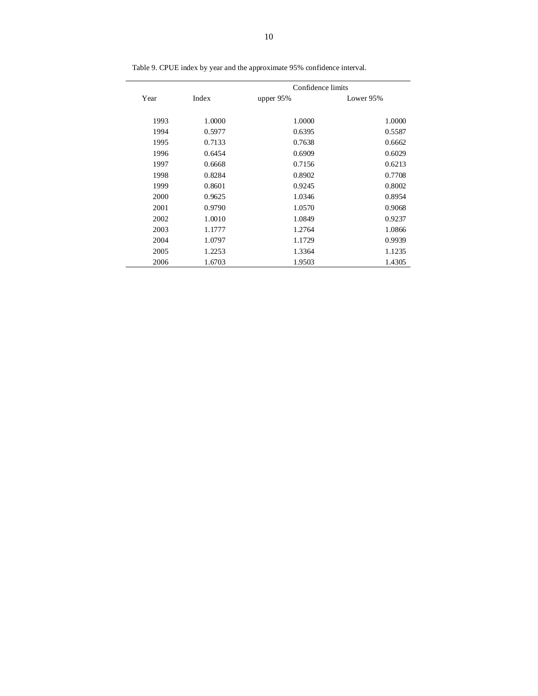|      |        | Confidence limits |           |
|------|--------|-------------------|-----------|
| Year | Index  | upper $95%$       | Lower 95% |
| 1993 | 1.0000 | 1.0000            | 1.0000    |
| 1994 | 0.5977 | 0.6395            | 0.5587    |
| 1995 | 0.7133 | 0.7638            | 0.6662    |
| 1996 | 0.6454 | 0.6909            | 0.6029    |
| 1997 | 0.6668 | 0.7156            | 0.6213    |
| 1998 | 0.8284 | 0.8902            | 0.7708    |
| 1999 | 0.8601 | 0.9245            | 0.8002    |
| 2000 | 0.9625 | 1.0346            | 0.8954    |
| 2001 | 0.9790 | 1.0570            | 0.9068    |
| 2002 | 1.0010 | 1.0849            | 0.9237    |
| 2003 | 1.1777 | 1.2764            | 1.0866    |
| 2004 | 1.0797 | 1.1729            | 0.9939    |
| 2005 | 1.2253 | 1.3364            | 1.1235    |
| 2006 | 1.6703 | 1.9503            | 1.4305    |

Table 9. CPUE index by year and the approximate 95% confidence interval.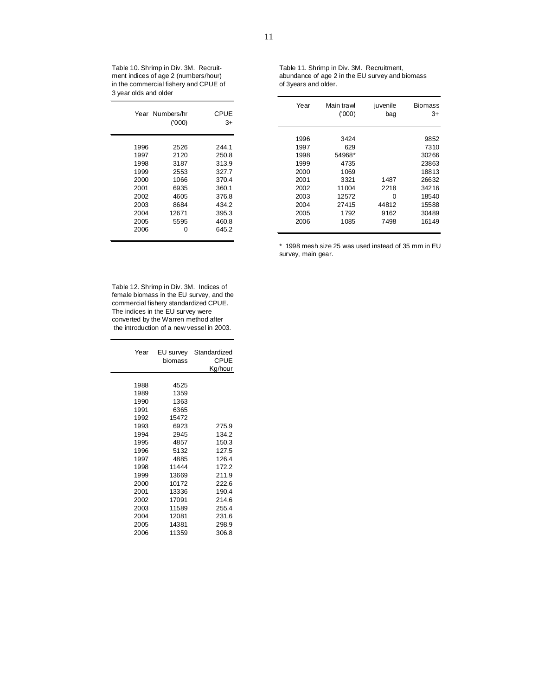Table 10. Shrimp in Div. 3M. Recruitment indices of age 2 (numbers/hour) in the commercial fishery and CPUE of 3 year olds and older

|      | Year Numbers/hr<br>(1000) | CPUE<br>3+ |
|------|---------------------------|------------|
| 1996 | 2526                      | 244.1      |
| 1997 | 2120                      | 250.8      |
| 1998 | 3187                      | 313.9      |
| 1999 | 2553                      | 327.7      |
| 2000 | 1066                      | 370.4      |
| 2001 | 6935                      | 360.1      |
| 2002 | 4605                      | 376.8      |
| 2003 | 8684                      | 434.2      |
| 2004 | 12671                     | 395.3      |
| 2005 | 5595                      | 460.8      |
| 2006 | ი                         | 645.2      |

| Table 11. Shrimp in Div. 3M. Recruitment,       |
|-------------------------------------------------|
| abundance of age 2 in the EU survey and biomass |
| of 3years and older.                            |

|      | Year Numbers/hr<br>(000) | <b>CPUE</b><br>$3+$ | Year | Main trawl<br>(1000) | juvenile<br>bag | <b>Biomass</b><br>3+ |
|------|--------------------------|---------------------|------|----------------------|-----------------|----------------------|
|      |                          |                     | 1996 | 3424                 |                 | 9852                 |
| 1996 | 2526                     | 244.1               | 1997 | 629                  |                 | 7310                 |
| 1997 | 2120                     | 250.8               | 1998 | 54968*               |                 | 30266                |
| 1998 | 3187                     | 313.9               | 1999 | 4735                 |                 | 23863                |
| 1999 | 2553                     | 327.7               | 2000 | 1069                 |                 | 18813                |
| 2000 | 1066                     | 370.4               | 2001 | 3321                 | 1487            | 26632                |
| 2001 | 6935                     | 360.1               | 2002 | 11004                | 2218            | 34216                |
| 2002 | 4605                     | 376.8               | 2003 | 12572                | 0               | 18540                |
| 2003 | 8684                     | 434.2               | 2004 | 27415                | 44812           | 15588                |
| 2004 | 12671                    | 395.3               | 2005 | 1792                 | 9162            | 30489                |
| 2005 | 5595                     | 460.8               | 2006 | 1085                 | 7498            | 16149                |
| 2006 | 0                        | 645.2               |      |                      |                 |                      |

\* 1998 mesh size 25 was used instead of 35 mm in EU survey, main gear.

Table 12. Shrimp in Div. 3M. Indices of female biomass in the EU survey, and the commercial fishery standardized CPUE. The indices in the EU survey were converted by the Warren method after the introduction of a new vessel in 2003.

 $\overline{\phantom{0}}$ 

| Year | EU survey<br>biomass | Standardized<br>CPUF<br>Kg/hour |
|------|----------------------|---------------------------------|
| 1988 | 4525                 |                                 |
| 1989 | 1359                 |                                 |
| 1990 | 1363                 |                                 |
| 1991 | 6365                 |                                 |
| 1992 | 15472                |                                 |
| 1993 | 6923                 | 275.9                           |
| 1994 | 2945                 | 134.2                           |
| 1995 | 4857                 | 150.3                           |
| 1996 | 5132                 | 127.5                           |
| 1997 | 4885                 | 126.4                           |
| 1998 | 11444                | 172.2                           |
| 1999 | 13669                | 211.9                           |
| 2000 | 10172                | 222.6                           |
| 2001 | 13336                | 190.4                           |
| 2002 | 17091                | 214.6                           |
| 2003 | 11589                | 255.4                           |
| 2004 | 12081                | 231.6                           |
| 2005 | 14381                | 298.9                           |
| 2006 | 11359                | 306.8                           |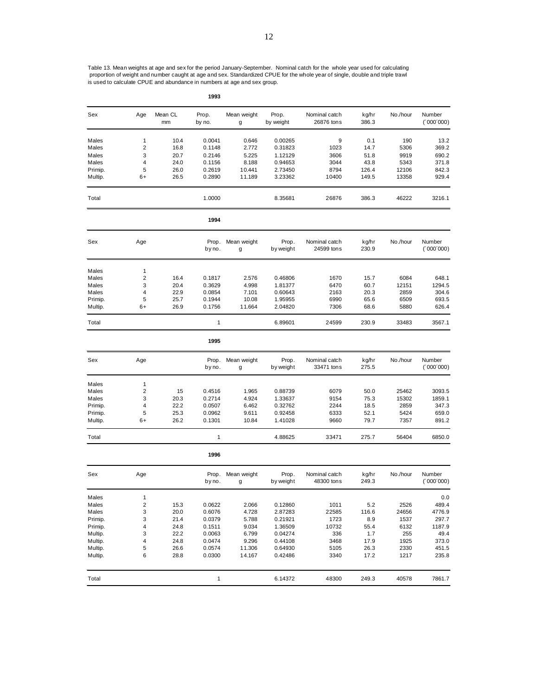Table 13. Mean weights at age and sex for the period January-September. Nominal catch for the whole year used for calculating<br>proportion of weight and number caught at age and sex. Standardized CPUE for the whole year of s is used to calculate CPUE and abundance in numbers at age and sex group.

| Sex                | Age            | Mean CL<br>mm | Prop.<br>by no.  | Mean weight<br>g | Prop.<br>by weight | Nominal catch<br>26876 tons | kg/hr<br>386.3 | No./hour     | Number<br>(000'000) |
|--------------------|----------------|---------------|------------------|------------------|--------------------|-----------------------------|----------------|--------------|---------------------|
| Males              | 1              | 10.4          | 0.0041           | 0.646            | 0.00265            | 9                           | 0.1            | 190          | 13.2                |
| Males              | $\overline{2}$ | 16.8          | 0.1148           | 2.772            | 0.31823            | 1023                        | 14.7           | 5306         | 369.2               |
| Males              | 3              | 20.7          | 0.2146           | 5.225            | 1.12129            | 3606                        | 51.8           | 9919         | 690.2               |
| Males              | 4              | 24.0          | 0.1156           | 8.188            | 0.94653            | 3044                        | 43.8           | 5343         | 371.8               |
| Primip.            | 5              | 26.0          | 0.2619           | 10.441           | 2.73450            | 8794                        | 126.4          | 12106        | 842.3               |
| Multip.            | 6+             | 26.5          | 0.2890           | 11.189           | 3.23362            | 10400                       | 149.5          | 13358        | 929.4               |
| Total              |                |               | 1.0000           |                  | 8.35681            | 26876                       | 386.3          | 46222        | 3216.1              |
|                    |                |               | 1994             |                  |                    |                             |                |              |                     |
| Sex                | Age            |               | Prop.<br>by no.  | Mean weight<br>g | Prop.<br>by weight | Nominal catch<br>24599 tons | kg/hr<br>230.9 | No./hour     | Number<br>(000'000) |
| Males              | 1              |               |                  |                  |                    |                             |                |              |                     |
| Males              | 2              | 16.4          | 0.1817           | 2.576            | 0.46806            | 1670                        | 15.7           | 6084         | 648.1               |
| Males              | 3              | 20.4          | 0.3629           | 4.998            | 1.81377            | 6470                        | 60.7           | 12151        | 1294.5              |
| Males              | 4              | 22.9          | 0.0854           | 7.101            | 0.60643            | 2163                        | 20.3           | 2859         | 304.6               |
| Primip.            | 5              | 25.7          | 0.1944           | 10.08            | 1.95955            | 6990                        | 65.6           | 6509         | 693.5               |
| Multip.            | 6+             | 26.9          | 0.1756           | 11.664           | 2.04820            | 7306                        | 68.6           | 5880         | 626.4               |
| Total              |                |               | 1                |                  | 6.89601            | 24599                       | 230.9          | 33483        | 3567.1              |
|                    |                |               | 1995             |                  |                    |                             |                |              |                     |
| Sex                | Age            |               | Prop.<br>by no.  | Mean weight<br>g | Prop.<br>by weight | Nominal catch<br>33471 tons | kg/hr<br>275.5 | No./hour     | Number<br>(000'000) |
| Males              | 1              |               |                  |                  |                    |                             |                |              |                     |
| Males              | 2              | 15            | 0.4516           | 1.965            | 0.88739            | 6079                        | 50.0           | 25462        | 3093.5              |
| Males              | 3              | 20.3          | 0.2714           | 4.924            | 1.33637            | 9154                        | 75.3           | 15302        | 1859.1              |
| Primip.            | 4              | 22.2          | 0.0507           | 6.462            | 0.32762            | 2244                        | 18.5           | 2859         | 347.3               |
| Primip.            | 5              | 25.3          | 0.0962           | 9.611            | 0.92458            | 6333                        | 52.1           | 5424         | 659.0               |
| Multip.            | 6+             | 26.2          | 0.1301           | 10.84            | 1.41028            | 9660                        | 79.7           | 7357         | 891.2               |
| Total              |                |               | 1                |                  | 4.88625            | 33471                       | 275.7          | 56404        | 6850.0              |
|                    |                |               | 1996             |                  |                    |                             |                |              |                     |
| Sex                | Age            |               | Prop.<br>by no.  | Mean weight<br>g | Prop.<br>by weight | Nominal catch<br>48300 tons | kg/hr<br>249.3 | No./hour     | Number<br>(000'000) |
| Males              | 1              |               |                  |                  |                    |                             |                |              | 0.0                 |
| Males              | 2              | 15.3          | 0.0622           | 2.066            | 0.12860            | 1011                        | 5.2            | 2526         | 489.4               |
| Males              | 3              | 20.0          | 0.6076           | 4.728            | 2.87283            | 22585                       | 116.6          | 24656        | 4776.9              |
| Primip.            | 3              | 21.4          | 0.0379           | 5.788            | 0.21921            | 1723                        | 8.9            | 1537         | 297.7               |
| Primip.            | 4              | 24.8          | 0.1511           | 9.034            | 1.36509            | 10732                       | 55.4           | 6132         | 1187.9              |
| Multip.            | 3              | 22.2          | 0.0063           | 6.799            | 0.04274            | 336                         | 1.7            | 255          | 49.4                |
| Multip.            | 4              | 24.8          | 0.0474           | 9.296            | 0.44108            | 3468                        | 17.9           | 1925         | 373.0               |
| Multip.<br>Multip. | 5<br>6         | 26.6<br>28.8  | 0.0574<br>0.0300 | 11.306<br>14.167 | 0.64930<br>0.42486 | 5105<br>3340                | 26.3<br>17.2   | 2330<br>1217 | 451.5<br>235.8      |
|                    |                |               |                  |                  |                    |                             |                |              |                     |
| Total              |                |               | $\mathbf{1}$     |                  | 6.14372            | 48300                       | 249.3          | 40578        | 7861.7              |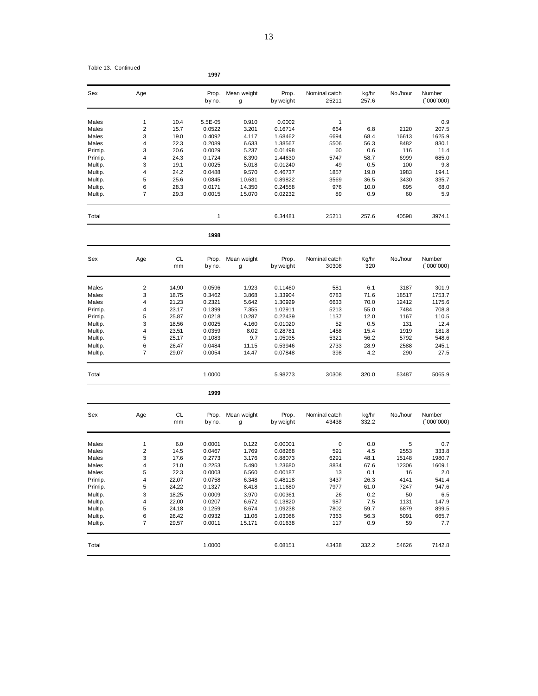| Sex     | Age |      | Prop.<br>by no. | Mean weight<br>g | Prop.<br>by weight | Nominal catch<br>25211 | kg/hr<br>257.6 | No./hour | Number<br>(000'000') |
|---------|-----|------|-----------------|------------------|--------------------|------------------------|----------------|----------|----------------------|
| Males   | 1   | 10.4 | 5.5E-05         | 0.910            | 0.0002             | 1                      |                |          | 0.9                  |
| Males   | 2   | 15.7 | 0.0522          | 3.201            | 0.16714            | 664                    | 6.8            | 2120     | 207.5                |
| Males   | 3   | 19.0 | 0.4092          | 4.117            | 1.68462            | 6694                   | 68.4           | 16613    | 1625.9               |
| Males   | 4   | 22.3 | 0.2089          | 6.633            | 1.38567            | 5506                   | 56.3           | 8482     | 830.1                |
| Primip. | 3   | 20.6 | 0.0029          | 5.237            | 0.01498            | 60                     | 0.6            | 116      | 11.4                 |
| Primip. | 4   | 24.3 | 0.1724          | 8.390            | 1.44630            | 5747                   | 58.7           | 6999     | 685.0                |
| Multip. | 3   | 19.1 | 0.0025          | 5.018            | 0.01240            | 49                     | 0.5            | 100      | 9.8                  |
| Multip. | 4   | 24.2 | 0.0488          | 9.570            | 0.46737            | 1857                   | 19.0           | 1983     | 194.1                |
| Multip. | 5   | 25.6 | 0.0845          | 10.631           | 0.89822            | 3569                   | 36.5           | 3430     | 335.7                |
| Multip. | 6   | 28.3 | 0.0171          | 14.350           | 0.24558            | 976                    | 10.0           | 695      | 68.0                 |
| Multip. | 7   | 29.3 | 0.0015          | 15.070           | 0.02232            | 89                     | 0.9            | 60       | 5.9                  |
| Total   |     |      | 1               |                  | 6.34481            | 25211                  | 257.6          | 40598    | 3974.1               |

| Sex     | Age | <b>CL</b><br>mm | Prop.<br>by no. | Mean weight<br>g | Prop.<br>by weight | Nominal catch<br>30308 | Kg/hr<br>320 | No./hour | Number<br>(000'000) |
|---------|-----|-----------------|-----------------|------------------|--------------------|------------------------|--------------|----------|---------------------|
| Males   | 2   | 14.90           | 0.0596          | 1.923            | 0.11460            | 581                    | 6.1          | 3187     | 301.9               |
| Males   | 3   | 18.75           | 0.3462          | 3.868            | 1.33904            | 6783                   | 71.6         | 18517    | 1753.7              |
| Males   | 4   | 21.23           | 0.2321          | 5.642            | 1.30929            | 6633                   | 70.0         | 12412    | 1175.6              |
| Primip. | 4   | 23.17           | 0.1399          | 7.355            | 1.02911            | 5213                   | 55.0         | 7484     | 708.8               |
| Primip. | 5   | 25.87           | 0.0218          | 10.287           | 0.22439            | 1137                   | 12.0         | 1167     | 110.5               |
| Multip. | 3   | 18.56           | 0.0025          | 4.160            | 0.01020            | 52                     | 0.5          | 131      | 12.4                |
| Multip. | 4   | 23.51           | 0.0359          | 8.02             | 0.28781            | 1458                   | 15.4         | 1919     | 181.8               |
| Multip. | 5   | 25.17           | 0.1083          | 9.7              | 1.05035            | 5321                   | 56.2         | 5792     | 548.6               |
| Multip. | 6   | 26.47           | 0.0484          | 11.15            | 0.53946            | 2733                   | 28.9         | 2588     | 245.1               |
| Multip. | 7   | 29.07           | 0.0054          | 14.47            | 0.07848            | 398                    | 4.2          | 290      | 27.5                |
| Total   |     |                 | 1.0000          |                  | 5.98273            | 30308                  | 320.0        | 53487    | 5065.9              |

|         |                |                 | 1999            |                  |                    |                        |                |          |                      |
|---------|----------------|-----------------|-----------------|------------------|--------------------|------------------------|----------------|----------|----------------------|
| Sex     | Age            | <b>CL</b><br>mm | Prop.<br>by no. | Mean weight<br>g | Prop.<br>by weight | Nominal catch<br>43438 | kg/hr<br>332.2 | No./hour | Number<br>(1000'000) |
| Males   |                | 6.0             | 0.0001          | 0.122            | 0.00001            | 0                      | 0.0            | 5        | 0.7                  |
| Males   | $\overline{2}$ | 14.5            | 0.0467          | 1.769            | 0.08268            | 591                    | 4.5            | 2553     | 333.8                |
| Males   | 3              | 17.6            | 0.2773          | 3.176            | 0.88073            | 6291                   | 48.1           | 15148    | 1980.7               |
| Males   | 4              | 21.0            | 0.2253          | 5.490            | 1.23680            | 8834                   | 67.6           | 12306    | 1609.1               |
| Males   | 5              | 22.3            | 0.0003          | 6.560            | 0.00187            | 13                     | 0.1            | 16       | 2.0                  |
| Primip. | 4              | 22.07           | 0.0758          | 6.348            | 0.48118            | 3437                   | 26.3           | 4141     | 541.4                |
| Primip. | 5              | 24.22           | 0.1327          | 8.418            | 1.11680            | 7977                   | 61.0           | 7247     | 947.6                |
| Multip. | 3              | 18.25           | 0.0009          | 3.970            | 0.00361            | 26                     | 0.2            | 50       | 6.5                  |
| Multip. | 4              | 22.00           | 0.0207          | 6.672            | 0.13820            | 987                    | 7.5            | 1131     | 147.9                |
| Multip. | 5              | 24.18           | 0.1259          | 8.674            | 1.09238            | 7802                   | 59.7           | 6879     | 899.5                |
| Multip. | 6              | 26.42           | 0.0932          | 11.06            | 1.03086            | 7363                   | 56.3           | 5091     | 665.7                |
| Multip. | 7              | 29.57           | 0.0011          | 15.171           | 0.01638            | 117                    | 0.9            | 59       | 7.7                  |
| Total   |                |                 | 1.0000          |                  | 6.08151            | 43438                  | 332.2          | 54626    | 7142.8               |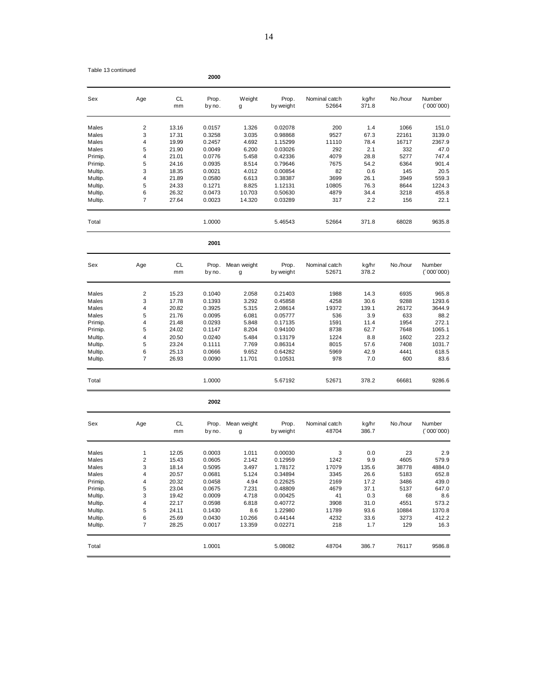|  | Table 13 continued |
|--|--------------------|
|--|--------------------|

| Sex     | Age | <b>CL</b><br>mm | Prop.<br>by no. | Weight<br>g      | Prop.<br>by weight | Nominal catch<br>52664 | kg/hr<br>371.8 | No./hour | Number<br>(000'000) |
|---------|-----|-----------------|-----------------|------------------|--------------------|------------------------|----------------|----------|---------------------|
| Males   | 2   | 13.16           | 0.0157          | 1.326            | 0.02078            | 200                    | 1.4            | 1066     | 151.0               |
| Males   | 3   | 17.31           | 0.3258          | 3.035            | 0.98868            | 9527                   | 67.3           | 22161    | 3139.0              |
| Males   | 4   | 19.99           | 0.2457          | 4.692            | 1.15299            | 11110                  | 78.4           | 16717    | 2367.9              |
| Males   | 5   | 21.90           | 0.0049          | 6.200            | 0.03026            | 292                    | 2.1            | 332      | 47.0                |
| Primip. | 4   | 21.01           | 0.0776          | 5.458            | 0.42336            | 4079                   | 28.8           | 5277     | 747.4               |
| Primip. | 5   | 24.16           | 0.0935          | 8.514            | 0.79646            | 7675                   | 54.2           | 6364     | 901.4               |
| Multip. | 3   | 18.35           | 0.0021          | 4.012            | 0.00854            | 82                     | 0.6            | 145      | 20.5                |
| Multip. | 4   | 21.89           | 0.0580          | 6.613            | 0.38387            | 3699                   | 26.1           | 3949     | 559.3               |
| Multip. | 5   | 24.33           | 0.1271          | 8.825            | 1.12131            | 10805                  | 76.3           | 8644     | 1224.3              |
|         | 6   | 26.32           |                 |                  | 0.50630            | 4879                   |                |          | 455.8               |
| Multip. |     |                 | 0.0473          | 10.703           |                    |                        | 34.4           | 3218     |                     |
| Multip. | 7   | 27.64           | 0.0023          | 14.320           | 0.03289            | 317                    | 2.2            | 156      | 22.1                |
| Total   |     |                 | 1.0000          |                  | 5.46543            | 52664                  | 371.8          | 68028    | 9635.8              |
|         |     |                 | 2001            |                  |                    |                        |                |          |                     |
| Sex     | Age | <b>CL</b>       | Prop.           | Mean weight      | Prop.              | Nominal catch          | kg/hr          | No./hour | Number              |
|         |     | mm              | by no.          | g                | by weight          | 52671                  | 378.2          |          | (000'000)           |
| Males   | 2   | 15.23           | 0.1040          | 2.058            | 0.21403            | 1988                   | 14.3           | 6935     | 965.8               |
| Males   | 3   | 17.78           | 0.1393          | 3.292            | 0.45858            | 4258                   | 30.6           | 9288     | 1293.6              |
| Males   | 4   | 20.82           | 0.3925          | 5.315            | 2.08614            | 19372                  | 139.1          | 26172    | 3644.9              |
| Males   | 5   | 21.76           | 0.0095          | 6.081            | 0.05777            | 536                    | 3.9            | 633      | 88.2                |
| Primip. | 4   | 21.48           | 0.0293          | 5.848            | 0.17135            | 1591                   | 11.4           | 1954     | 272.1               |
| Primip. | 5   | 24.02           | 0.1147          | 8.204            | 0.94100            | 8738                   | 62.7           | 7648     | 1065.1              |
| Multip. | 4   | 20.50           | 0.0240          | 5.484            | 0.13179            | 1224                   | 8.8            | 1602     | 223.2               |
| Multip. | 5   | 23.24           | 0.1111          | 7.769            | 0.86314            | 8015                   | 57.6           | 7408     | 1031.7              |
|         | 6   |                 | 0.0666          |                  | 0.64282            | 5969                   | 42.9           | 4441     | 618.5               |
| Multip. |     | 25.13           |                 | 9.652            |                    |                        |                |          |                     |
| Multip. | 7   | 26.93           | 0.0090          | 11.701           | 0.10531            | 978                    | 7.0            | 600      | 83.6                |
| Total   |     |                 | 1.0000          |                  | 5.67192            | 52671                  | 378.2          | 66681    | 9286.6              |
|         |     |                 | 2002            |                  |                    |                        |                |          |                     |
| Sex     | Age | CL<br>mm        | Prop.<br>by no. | Mean weight<br>g | Prop.<br>by weight | Nominal catch<br>48704 | kg/hr<br>386.7 | No./hour | Number<br>(000'000) |
|         |     |                 |                 |                  |                    |                        |                |          |                     |
| Males   | 1   | 12.05           | 0.0003          | 1.011            | 0.00030            | 3                      | 0.0            | 23       | 2.9                 |
| Males   | 2   | 15.43           | 0.0605          | 2.142            | 0.12959            | 1242                   | 9.9            | 4605     | 579.9               |
| Males   | 3   | 18.14           | 0.5095          | 3.497            | 1.78172            | 17079                  | 135.6          | 38778    | 4884.0              |
| Males   | 4   | 20.57           | 0.0681          | 5.124            | 0.34894            | 3345                   | 26.6           | 5183     | 652.8               |
| Primip. | 4   | 20.32           | 0.0458          | 4.94             | 0.22625            | 2169                   | 17.2           | 3486     | 439.0               |
| Primip. | 5   | 23.04           | 0.0675          | 7.231            | 0.48809            | 4679                   | 37.1           | 5137     | 647.0               |
| Multip. | 3   | 19.42           | 0.0009          | 4.718            | 0.00425            | 41                     | 0.3            | 68       | 8.6                 |
| Multip. | 4   | 22.17           | 0.0598          | 6.818            | 0.40772            | 3908                   | 31.0           | 4551     | 573.2               |
| Multip. | 5   | 24.11           | 0.1430          | 8.6              | 1.22980            | 11789                  | 93.6           | 10884    | 1370.8              |
| Multip. | 6   | 25.69           | 0.0430          | 10.266           | 0.44144            | 4232                   | 33.6           | 3273     | 412.2               |
| Multip. | 7   | 28.25           | 0.0017          | 13.359           | 0.02271            | 218                    | 1.7            | 129      | 16.3                |
| Total   |     |                 | 1.0001          |                  | 5.08082            | 48704                  | 386.7          | 76117    | 9586.8              |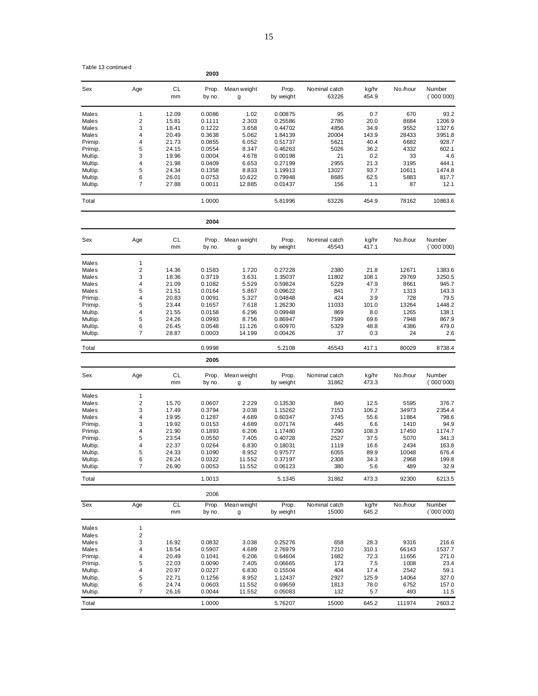|  |  | Table 13 continued |
|--|--|--------------------|
|--|--|--------------------|

15

| Table 13 continued |                         |                 | 2003             |                  |                    |                        |                |               |                     |
|--------------------|-------------------------|-----------------|------------------|------------------|--------------------|------------------------|----------------|---------------|---------------------|
| Sex                | Age                     | CL<br>mm        | Prop.<br>by no.  | Mean weight<br>g | Prop.<br>by weight | Nominal catch<br>63226 | kg/hr<br>454.9 | No./hour      | Number<br>(000'000) |
| Males              | $\mathbf{1}$            | 12.09           | 0.0086           | 1.02             | 0.00875            | 95                     | 0.7            | 670           | 93.2                |
| Males              | $\overline{\mathbf{c}}$ | 15.81           | 0.1111           | 2.303            | 0.25586            | 2780                   | 20.0           | 8684          | 1206.9              |
| Males              | 3                       | 18.41           | 0.1222           | 3.658            | 0.44702            | 4856                   | 34.9           | 9552          | 1327.6              |
| Males              | 4                       | 20.49           | 0.3638           | 5.062            | 1.84139            | 20004                  | 143.9          | 28433         | 3951.8              |
| Primip.            | 4                       | 21.73           | 0.0855           | 6.052            | 0.51737            | 5621                   | 40.4           | 6682          | 928.7               |
| Primip.            | 5                       | 24.15           | 0.0554           | 8.347            | 0.46263            | 5026                   | 36.2           | 4332          | 602.1               |
| Multip.            | 3                       | 19.96           | 0.0004           | 4.678            | 0.00198            | 21                     | 0.2            | 33            | 4.6                 |
| Multip.            | 4                       | 21.98           | 0.0409           | 6.653            | 0.27199            | 2955                   | 21.3           | 3195          | 444.1               |
| Multip.            | 5                       | 24.34           | 0.1358           | 8.833            | 1.19913            | 13027                  | 93.7           | 10611         | 1474.8              |
| Multip.<br>Multip. | 6<br>7                  | 26.01<br>27.88  | 0.0753<br>0.0011 | 10.622<br>12.885 | 0.79948<br>0.01437 | 8685<br>156            | 62.5<br>1.1    | 5883<br>87    | 817.7<br>12.1       |
| Total              |                         |                 | 1.0000           |                  | 5.81996            | 63226                  | 454.9          | 78162         | 10863.6             |
|                    |                         |                 | 2004             |                  |                    |                        |                |               |                     |
| Sex                | Age                     | CL              | Prop.            | Mean weight      | Prop.              | Nominal catch          | kg/hr          | No./hour      | Number              |
|                    |                         | mm              | by no.           | g                | by weight          | 45543                  | 417.1          |               | (000'000)           |
| Males              | $\mathbf{1}$            |                 |                  |                  |                    |                        |                |               |                     |
| Males              | $\overline{\mathbf{c}}$ | 14.36           | 0.1583           | 1.720            | 0.27228            | 2380                   | 21.8           | 12671         | 1383.6              |
| Males              | 3                       | 18.36           | 0.3719           | 3.631            | 1.35037            | 11802                  | 108.1          | 29769         | 3250.5              |
| Males              | 4                       | 21.09           | 0.1082           | 5.529            | 0.59824            | 5229                   | 47.9           | 8661          | 945.7               |
| Males              | 5                       | 21.51           | 0.0164           | 5.867            | 0.09622            | 841                    | 7.7            | 1313          | 143.3               |
| Primip.            | 4<br>5                  | 20.83<br>23.44  | 0.0091           | 5.327<br>7.618   | 0.04848            | 424                    | 3.9            | 728           | 79.5<br>1448.2      |
| Primip.<br>Multip. | 4                       | 21.55           | 0.1657<br>0.0158 | 6.296            | 1.26230<br>0.09948 | 11033<br>869           | 101.0<br>8.0   | 13264<br>1265 | 138.1               |
| Multip.            | 5                       | 24.26           | 0.0993           | 8.756            | 0.86947            | 7599                   | 69.6           | 7948          | 867.9               |
| Multip.            | 6                       | 26.45           | 0.0548           | 11.126           | 0.60970            | 5329                   | 48.8           | 4386          | 479.0               |
| Multip.            | 7                       | 28.87           | 0.0003           | 14.199           | 0.00426            | 37                     | 0.3            | 24            | 2.6                 |
| Total              |                         |                 | 0.9998           |                  | 5.2108             | 45543                  | 417.1          | 80029         | 8738.4              |
|                    |                         |                 | 2005             |                  |                    |                        |                |               |                     |
| Sex                | Age                     | CL              | Prop.            | Mean weight      | Prop.              | Nominal catch          | kg/hr          | No./hour      | Number              |
|                    |                         | mm              | by no.           | g                | by weight          | 31862                  | 473.3          |               | (000'000)           |
| Males              | $\mathbf{1}$            |                 |                  |                  |                    |                        |                |               |                     |
| Males              | 2                       | 15.70           | 0.0607           | 2.229            | 0.13530            | 840                    | 12.5           | 5595          | 376.7               |
| Males              | 3<br>4                  | 17.49           | 0.3794           | 3.038<br>4.689   | 1.15262            | 7153                   | 106.2<br>55.6  | 34973         | 2354.4              |
| Males<br>Primip.   | 3                       | 19.95<br>19.92  | 0.1287<br>0.0153 | 4.689            | 0.60347<br>0.07174 | 3745<br>445            | 6.6            | 11864<br>1410 | 798.6<br>94.9       |
| Primip.            | 4                       | 21.90           | 0.1893           | 6.206            | 1.17480            | 7290                   | 108.3          | 17450         | 1174.7              |
| Primip.            | 5                       | 23.54           | 0.0550           | 7.405            | 0.40728            | 2527                   | 37.5           | 5070          | 341.3               |
| Multip.            | 4                       | 22.37           | 0.0264           | 6.830            | 0.18031            | 1119                   | 16.6           | 2434          | 163.8               |
| Multip.            | 5                       | 24.33           | 0.1090           | 8.952            | 0.97577            | 6055                   | 89.9           | 10048         | 676.4               |
| Multip.            | 6                       | 26.24           | 0.0322           | 11.552           | 0.37197            | 2308                   | 34.3           | 2968          | 199.8               |
| Multip.            | 7                       | 26.90           | 0.0053           | 11.552           | 0.06123            | 380                    | 5.6            | 489           | 32.9                |
| Total              |                         |                 | 1.0013           |                  | 5.1345             | 31862                  | 473.3          | 92300         | 6213.5              |
|                    |                         |                 | 2006             |                  |                    |                        |                |               |                     |
| Sex                | Age                     | <b>CL</b><br>mm | Prop.<br>by no.  | Mean weight<br>g | Prop.<br>by weight | Nominal catch<br>15000 | kg/hr<br>645.2 | No./hour      | Number<br>(000'000) |
| Males              | 1                       |                 |                  |                  |                    |                        |                |               |                     |
| Males              | 2                       |                 |                  |                  |                    |                        |                |               |                     |
| Males              | 3                       | 16.92           | 0.0832           | 3.038            | 0.25276            | 658                    | 28.3           | 9316          | 216.6               |
| Males              | 4                       | 18.54           | 0.5907           | 4.689            | 2.76979            | 7210                   | 310.1          | 66143         | 1537.7              |
| Primip.            | 4                       | 20.49           | 0.1041           | 6.206            | 0.64604            | 1682                   | 72.3           | 11656         | 271.0               |

Primip. 5 22.03 0.0090 7.405 0.06665 173 7.5 1008 23.4 Multip. 4 20.97 0.0227 6.830 0.15504 404 17.4 2542 59.1 Multip. 5 22.71 0.1256 8.952 1.12437 2927 125.9 14064 327.0 Multip. 6 24.74 0.0603 11.552 0.69659 1813 78.0 6752 157.0 Multip. 7 26.16 0.0044 11.552 0.05083 132 5.7 493 11.5 Total 1.0000 5.76207 15000 645.2 111974 2603.2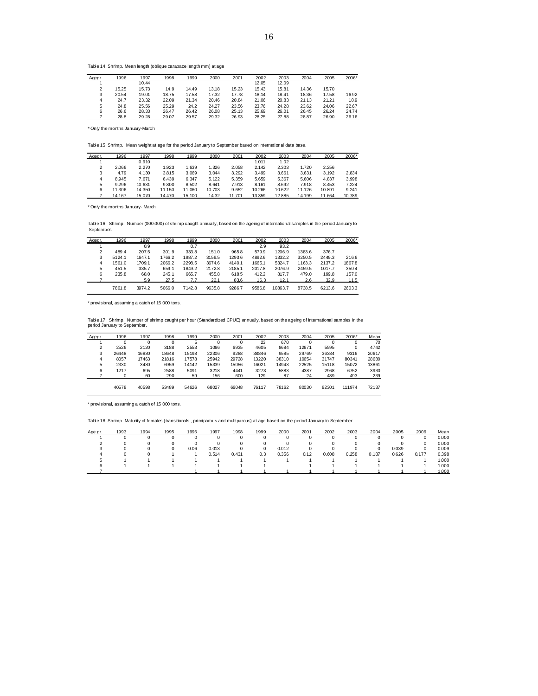Table 14. Shrimp. Mean length (oblique carapace length mm) at age

| Agegr.         | 1996  | 1997  | 1998  | 1999  | 2000  | 2001  | 2002  | 2003  | 2004  | 2005  | 2006* |
|----------------|-------|-------|-------|-------|-------|-------|-------|-------|-------|-------|-------|
|                |       | 10.44 |       |       |       |       | 12.05 | 12.09 |       |       |       |
| $\mathfrak{p}$ | 15.25 | 15.73 | 14.9  | 14.49 | 13.18 | 15.23 | 15.43 | 15.81 | 14.36 | 15.70 |       |
| 3              | 20.54 | 19.01 | 18.75 | 17.58 | 17.32 | 17.78 | 18.14 | 18.41 | 18.36 | 17.58 | 16.92 |
| 4              | 24.7  | 23.32 | 22.09 | 21.34 | 20.46 | 20.84 | 21.06 | 20.83 | 21.13 | 21.21 | 18.9  |
| 5              | 24.8  | 25.56 | 25.29 | 24.2  | 24.27 | 23.56 | 23.76 | 24.28 | 23.62 | 24.06 | 22.67 |
| 6              | 26.6  | 28.33 | 26.47 | 26.42 | 26.08 | 25.13 | 25.69 | 26.01 | 26.45 | 26.24 | 24.74 |
|                | 28.8  | 29.28 | 29.07 | 29.57 | 29.32 | 26.93 | 28.25 | 27.88 | 28.87 | 26.90 | 26.16 |

\* Only the months January-March

Table 15. Shrimp. Mean weight at age for the period January to September based on international data base.

| Agegr. | 1996   | 1997   | 1998   | 1999   | 2000   | 2001   | 2002   | 2003   | 2004   | 2005   | 2006*  |
|--------|--------|--------|--------|--------|--------|--------|--------|--------|--------|--------|--------|
|        |        | 0.910  |        |        |        |        | 1.011  | 1.02   |        |        |        |
| 2      | 2.066  | 2.270  | 1.923  | 1.639  | 1.326  | 2.058  | 2.142  | 2.303  | 1.720  | 2.256  |        |
| 3      | 4.79   | 4.130  | 3.815  | 3.069  | 3.044  | 3.292  | 3.499  | 3.661  | 3.631  | 3.192  | 2.834  |
| 4      | 8.945  | 7.671  | 6.439  | 6.347  | 5.122  | 5.359  | 5.659  | 5.367  | 5,606  | 4.837  | 3.998  |
| 5      | 9.296  | 10.631 | 9,800  | 8.502  | 8.641  | 7.913  | 8.161  | 8.692  | 7.918  | 8.453  | 7.224  |
| 6      | 11.306 | 14.350 | 11.150 | 11.060 | 10.703 | 9.652  | 10.266 | 10.622 | 11.126 | 10.891 | 9.241  |
|        | 14.167 | 15.070 | 14,470 | 15.100 | 14.32  | 11.701 | 13.359 | 12.885 | 14.199 | 11.664 | 10.789 |

\* Only the months January- March

Table 16. Shrimp. Number (000.000) of shrimp caught annually, based on the ageing of international samples in the period January to September.

| Agear.         | 1996   | 1997   | 1998   | 1999   | 2000   | 2001   | 2002   | 2003    | 2004   | 2005   | 2006*  |
|----------------|--------|--------|--------|--------|--------|--------|--------|---------|--------|--------|--------|
|                |        | 0.9    |        | 0.7    |        |        | 2.9    | 93.2    |        |        |        |
| $\mathfrak{p}$ | 489.4  | 207.5  | 301.9  | 333.8  | 151.0  | 965.8  | 579.9  | 1206.9  | 1383.6 | 376.7  |        |
| 3              | 5124.1 | 1647.1 | 1766.2 | 1987.2 | 3159.5 | 1293.6 | 4892.6 | 1332.2  | 3250.5 | 2449.3 | 216.6  |
| 4              | 1561.0 | 1709.1 | 2066.2 | 2298.5 | 3674.6 | 4140.1 | 1665.1 | 5324.7  | 1163.3 | 2137.2 | 1867.8 |
| 5              | 451.5  | 335.7  | 659.1  | 1849.2 | 2172.8 | 2185.1 | 2017.8 | 2076.9  | 2459.5 | 1017.7 | 350.4  |
| 6              | 235.8  | 68.0   | 245.1  | 665.7  | 455.8  | 618.5  | 412.2  | 817.7   | 479.0  | 199.8  | 157.0  |
|                |        | 5.9    | 27.5   |        | 22.1   | 83.6   | 16.3   | 12.1    | 2.6    | 32.9   | 11.5   |
|                | 7861.8 | 3974.2 | 5066.0 | 7142.8 | 9635.8 | 9286.7 | 9586.8 | 10863.7 | 8738.5 | 6213.6 | 2603.3 |

\* provisional, assuming a catch of 15 000 tons.

Table 17. Shrimp. Number of shrimp caught per hour (Standardized CPUE) annually, based on the ageing of international samples in the period January to September.

| <u>Agegr.</u> | 1996  | 1997  | 1998  | 1999  | 2000  | 2001  | 2002  | 2003  | 2004  | 2005  | 2006*  | Mean  |
|---------------|-------|-------|-------|-------|-------|-------|-------|-------|-------|-------|--------|-------|
|               |       |       | 0     | 5     |       |       | 23    | 670   |       | 0     | 0      | 70    |
|               | 2526  | 2120  | 3188  | 2553  | 1066  | 6935  | 4605  | 8684  | 12671 | 5595  | 0      | 4742  |
|               | 26448 | 16830 | 18648 | 15198 | 22306 | 9288  | 38846 | 9585  | 29769 | 36384 | 9316   | 20617 |
| 4             | 8057  | 17463 | 21816 | 17578 | 25942 | 29728 | 13220 | 38310 | 10654 | 31747 | 80341  | 28680 |
| 5             | 2330  | 3430  | 6959  | 14142 | 15339 | 15056 | 16021 | 14943 | 22525 | 15118 | 15072  | 13861 |
| 6             | 1217  | 695   | 2588  | 5091  | 3218  | 4441  | 3273  | 5883  | 4387  | 2968  | 6752   | 3930  |
|               |       | 60    | 290   | 59    | 156   | 600   | 129   | 87    | 24    | 489   | 493    | 239   |
|               |       |       |       |       |       |       |       |       |       |       |        |       |
|               | 40578 | 40598 | 53489 | 54626 | 68027 | 66048 | 76117 | 78162 | 80030 | 92301 | 111974 | 72137 |

\* provisional, assuming a catch of 15 000 tons.

Table 18. Shrimp. Maturity of females (transitionals , primiparous and multiparous) at age based on the period January to September.

| Age gr. | 1993 | 1994 | 1995 | 1996 | 1997  | 1998  | 1999 | 2000  | 2001 | 2002  | 2003  | 2004  | 2005  | 2006  | Mean  |
|---------|------|------|------|------|-------|-------|------|-------|------|-------|-------|-------|-------|-------|-------|
|         |      |      |      |      |       |       |      |       |      |       |       |       |       |       | 0.000 |
|         |      |      |      |      |       |       |      |       |      |       |       |       |       |       | 0.000 |
|         |      |      | 0    | 0.06 | 0.013 |       |      | 0.012 |      |       |       |       | 0.039 |       | 0.009 |
|         |      |      |      |      | 0.514 | 0.431 | 0.3  | 0.356 | 0.12 | 0.608 | 0.258 | 0.187 | 0.626 | 0.177 | 0.398 |
|         |      |      |      |      |       |       |      |       |      |       |       |       |       |       | 1.000 |
|         |      |      |      |      |       |       |      |       |      |       |       |       |       |       | 1.000 |
|         |      |      |      |      |       |       |      |       |      |       |       |       |       |       | 000   |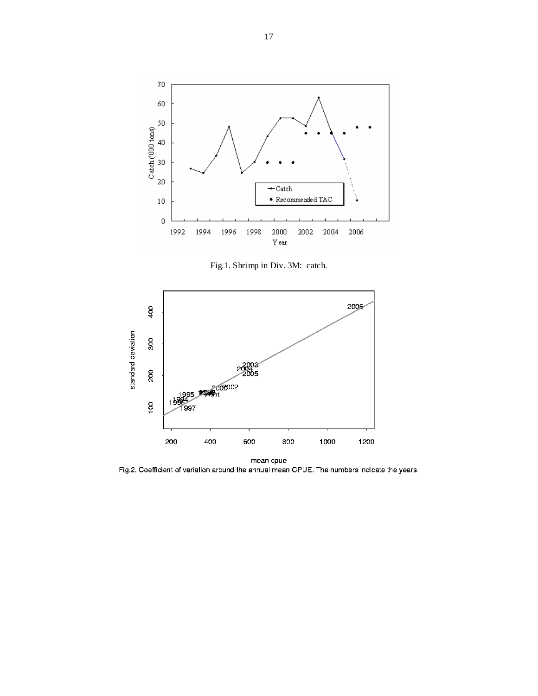

Fig.1. Shrimp in Div. 3M: catch.



Fig.2. Coefficient of variation around the annual mean CPUE. The numbers indicate the years.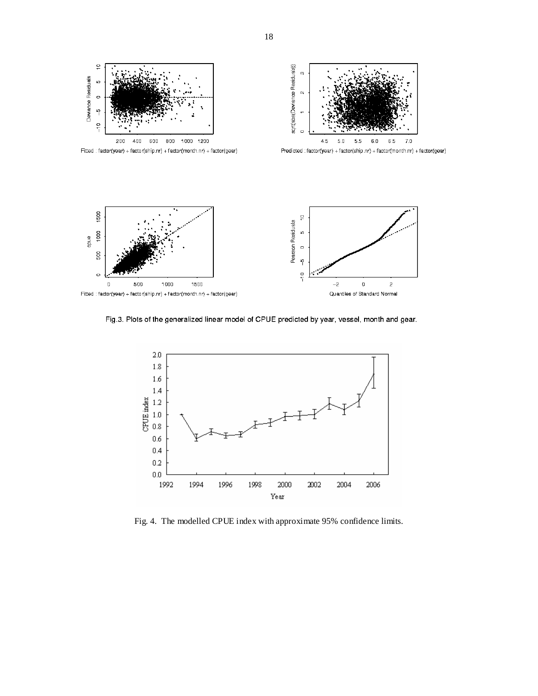



1500

500

 $\circ$ 

 $\overline{0}$ 

 $\frac{1}{2}$  $\frac{1}{2}$  $-2$  $\pmb{0}$  $\overline{a}$ Quantiles of Standard Normal

Fig.3. Plots of the generalized linear model of CPUE predicted by year, vessel, month and gear.



Fig. 4. The modelled CPUE index with approximate 95% confidence limits.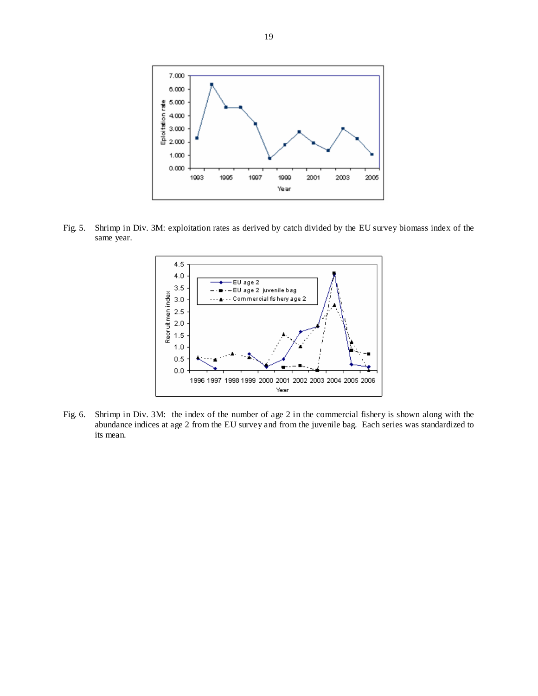

Fig. 5. Shrimp in Div. 3M: exploitation rates as derived by catch divided by the EU survey biomass index of the same year.



Fig. 6. Shrimp in Div. 3M: the index of the number of age 2 in the commercial fishery is shown along with the abundance indices at age 2 from the EU survey and from the juvenile bag. Each series was standardized to its mean.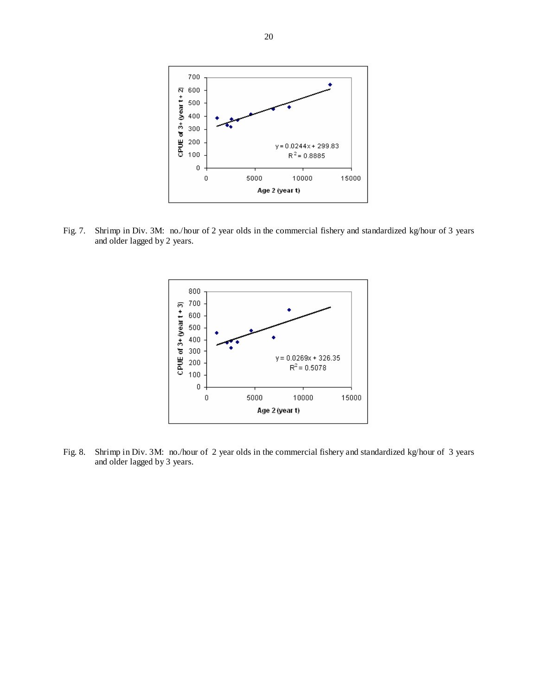

Fig. 7. Shrimp in Div. 3M: no./hour of 2 year olds in the commercial fishery and standardized kg/hour of 3 years and older lagged by 2 years.



Fig. 8. Shrimp in Div. 3M: no./hour of 2 year olds in the commercial fishery and standardized kg/hour of 3 years and older lagged by 3 years.